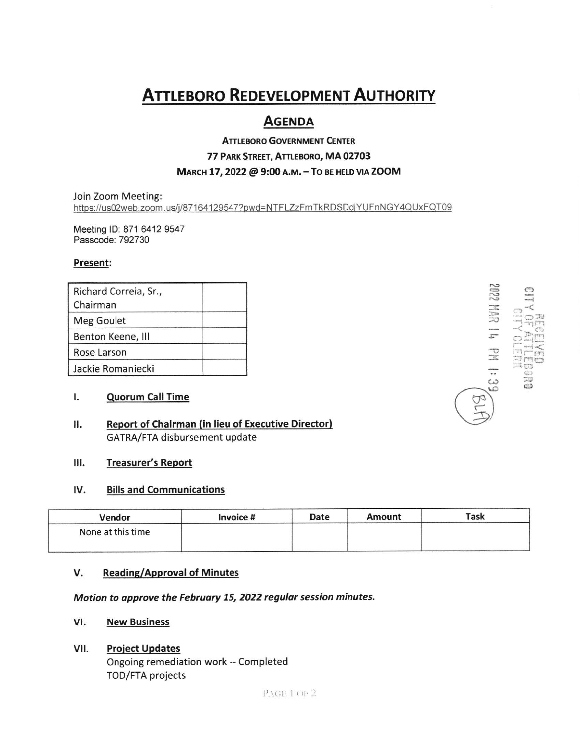# **ATTLEBORO REDEVELOPMENT AUTHORITY**

## **AGENDA**

## **ATTLEBORO GOVERNMENT CENTER** 77 PARK STREET, ATTLEBORO, MA 02703 MARCH 17, 2022 @ 9:00 A.M. - TO BE HELD VIA ZOOM

Join Zoom Meeting: https://us02web.zoom.us/j/87164129547?pwd=NTFLZzFmTkRDSDdjYUFnNGY4QUxFQT09

Meeting ID: 871 6412 9547 Passcode: 792730

### Present:

| Richard Correia, Sr., |  |
|-----------------------|--|
| Chairman              |  |
| Meg Goulet            |  |
| Benton Keene, III     |  |
| Rose Larson           |  |
| Jackie Romaniecki     |  |

#### $\mathbf{L}$ **Quorum Call Time**

**Report of Chairman (in lieu of Executive Director)** Н. GATRA/FTA disbursement update

#### Ш. **Treasurer's Report**

#### IV. **Bills and Communications**

| Vendor            | Invoice # | Date | Amount | Task |
|-------------------|-----------|------|--------|------|
| None at this time |           |      |        |      |
|                   |           |      |        |      |

#### V. **Reading/Approval of Minutes**

Motion to approve the February 15, 2022 regular session minutes.

#### VI. **New Business**

#### VII. **Project Updates**

Ongoing remediation work -- Completed TOD/FTA projects

1022 MAR IL4 PM 1:39